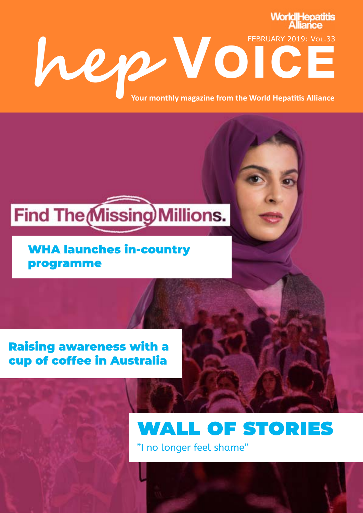# **WorldIHepatitis** FEBRUARY 2019: Vol.33<br>
Your monthly magazine from the World Hepatitis Alliance **Your monthly magazine from the World Hepatitis Alliance**

### **Find The Missing Millions.**

#### WHA launches in-country programme

#### Raising awareness with a cup of coffee in Australia

### wall of stories

"I no longer feel shame"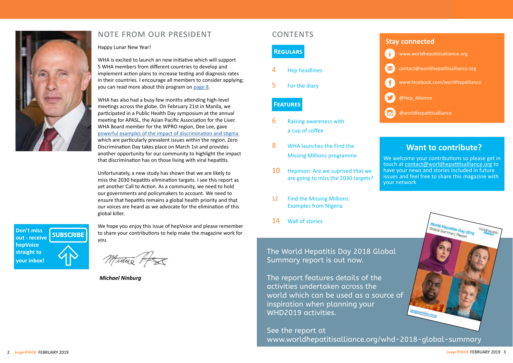#### **[Want to contribute?](mailto:contact%40worldhepatitisalliance.org?subject=)**



We welcome your contributions so please get in touch at contact@worldhepatitisalliance.org to have your news and stories included in future issues and feel free to share this magazine with your network





#### note from our president contents



- 6 Raising awareness with a cup of coffee
- 8 WHA launches the Find the Missing Millions programme
- 10 Hepinion: Are we suprised that we are going to miss the 2030 targets?
- 12 Find the Missing Millions: Examples from Nigeria
- 14 Wall of stories

**Don't miss SUBSCRIBE [out - receive](http://eepurl.com/3IOvb)  hepVoice straight to your inbox!**

The World Hepatitis Day 2018 Global Summary report is out now.

The report features details of the activities undertaken across the world which can be used as a source of inspiration when planning your WHD2019 activities.

See the report at [www.worldhepatitisalliance.org/whd-2018-global-summary](http://www.worldhepatitisalliance.org/whd-2018-global-summary)

Happy Lunar New Year!

WHA is excited to launch an new initiative which will support 5 WHA members from different countries to develop and implement action plans to increase testing and diagnosis rates in their countries. I encourage all members to consider applying; you can read more about this program on [page 8](#page-4-0).

WHA has also had a busy few months attending high-level meetings across the globe. On February 21st in Manila, we participated in a Public Health Day symposium at the annual meeting for APASL, the Asian Pacific Association for the Liver. WHA Board member for the WPRO region, Dee Lee, gave [powerful examples of the impact of discrimination and stigma](http://www.nohep.org/story/noheps-first-twitter-takeover/)  which are particularly prevalent issues within the region. Zero Discrimination Day takes place on March 1st and provides another opportunity for our community to highlight the impact that discrimination has on those living with viral hepatitis.

Unfortunately, a new study has shown that we are likely to miss the 2030 hepatitis elimination targets. I see this report as yet another Call to Action. As a community, we need to hold our governments and policymakers to account. We need to ensure that hepatitis remains a global health priority and that our voices are heard as we advocate for the elimination of this global killer.

We hope you enjoy this issue of hepVoice and please remember to share your contributions to help make the magazine work for you.

Midux HE

*Michael Ninburg*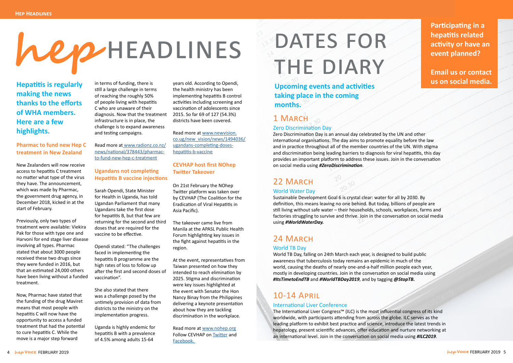**Hepatitis is regularly making the news thanks to the efforts of WHA members. Here are a few highlights.** 

#### **Pharmac to fund new Hep C treatment in New Zealand**

New Zealanders will now receive access to hepatitis C treatment no matter what type of the virus they have. The announcement, which was made by Pharmac, the government drug agency, in December 2018, kicked in at the start of February.

Previously, only two types of treatment were available: Viekira Pak for those with type one and Harvoni for end stage liver disease involving all types. Pharmac stated that about 3000 people received these two drugs since they were funded in 2016, but that an estimated 24,000 others have been living without a funded treatment.

Now, Pharmac have stated that the funding of the drug Maviret means that most people with hepatitis C will now have the opportunity to access a funded treatment that had the potential to cure hepatitis C. While the move is a major step forward

in terms of funding, there is still a large challenge in terms of reaching the roughly 50% of people living with hepatitis C who are unaware of their diagnosis. Now that the treatment infrastructure is in place, the challenge is to expand awareness and testing campaigns.

Read more a[t www.radionz.co.nz/](http://www.radionz.co.nz/news/national/378443/pharmac-to-fund-new-hep-c-treatment
) [news/national/378443/pharmac](http://www.radionz.co.nz/news/national/378443/pharmac-to-fund-new-hep-c-treatment
)[to-fund-new-hep-c-treatment](http://www.radionz.co.nz/news/national/378443/pharmac-to-fund-new-hep-c-treatment
)

#### **Ugandans not completing Hepatitis B vaccine injections**

Sarah Opendi, State Minister for Health in Uganda, has told Ugandan Parliament that many Ugandans take the first dose for hepatitis B, but that few are returning for the second and third doses that are required for the vaccine to be effective.

Opendi stated: "The challenges faced in implementing the hepatitis B programme are the high rates of loss to follow up after the first and second doses of vaccination".

She also stated that there was a challenge posed by the untimely provision of data from districts to the ministry on the implementation progress.

Uganda is highly endemic for hepatitis B with a prevalence of 4.5% among adults 15-64

years old. According to Opendi, the health ministry has been implementing hepatitis B control activities including screening and vaccination of adolescents since 2015. So far 69 of 127 (54.3%) districts have been covered.

Read more at [www.newvision.](http://www.newvision.co.ug/new_vision/news/1494036/ugandans-completing-doses-hepatitis-b-vaccine
) [co.ug/new\\_vision/news/1494036/](http://www.newvision.co.ug/new_vision/news/1494036/ugandans-completing-doses-hepatitis-b-vaccine
) [ugandans-completing-doses](http://www.newvision.co.ug/new_vision/news/1494036/ugandans-completing-doses-hepatitis-b-vaccine
)[hepatitis-b-vaccine](http://www.newvision.co.ug/new_vision/news/1494036/ugandans-completing-doses-hepatitis-b-vaccine
)

#### **CEVHAP host first NOhep Twitter Takeover**

On 21st February the NOhep Twitter platform was taken over by CEVHAP (The Coalition for the Eradication of Viral Hepatitis in Asia Pacific).

The takeover came live from Manila at the APASL Public Health Forum highlighting key issues in the fight against hepatitis in the region.

At the event, representatives from Taiwan presented on how they intended to reach elimination by 2025. Stigma and discrimination were key issues highlighted at the event with Senator the Hon Nancy Binay from the Philippines delivering a keynote presentation about how they are tackling discrimination in the workplace.

Read more at [www.nohep.org](http://www.nohep.org/story/noheps-first-twitter-takeover/) Follow CEVHAP on [Twitter](https://twitter.com/CEVHAP) and [Facebook.](https://www.facebook.com/Cevhap)

# DATES FOR THE DIARY

# **hep** headlines

**Upcoming events and activities taking place in the coming months.** 



**Email us or contact us on social media.**

### 1 March

#### Zero Discrimination Day

Zero Discrimination Day is an annual day celebrated by the UN and other international organisations. The day aims to promote equality before the law and in practice throughout all of the member countries of the UN. With stigma and discrimination being leading barriers to diagnosis for viral hepatitis, this day provides an important platform to address these issues. Join in the conversation on social media using *#ZeroDiscrimination*.

#### 22 MARCH

#### World Water Day

Sustainable Development Goal 6 is crystal clear: water for all by 2030. By definition, this means leaving no one behind. But today, billions of people are still living without safe water – their households, schools, workplaces, farms and factories struggling to survive and thrive. Join in the conversation on social media using *#WorldWaterDay.*

#### 24 March

#### World TB Day

World TB Day, falling on 24th March each year, is designed to build public awareness that tuberculosis today remains an epidemic in much of the world, causing the deaths of nearly one-and-a-half million people each year, mostly in developing countries. Join in the conversation on social media using *#ItsTimetoEndTB* and *#WorldTBDay2019*, and by tagging *@StopTB.*

#### 10-14 April

#### International Liver Conference

The International Liver Congress™ (ILC) is the most influential congress of its kind worldwide, with participants attending from across the globe. ILC serves as the leading platform to exhibit best practice and science, introduce the latest trends in hepatology, present scientific advances, offer education and nurture networking at an international level. Join in the conversation on social media using *#ILC2019*.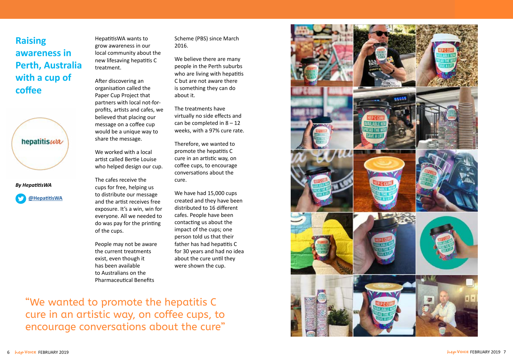**Raising awareness in Perth, Australia with a cup of coffee**





HepatitisWA wants to grow awareness in our local community about the new lifesaving hepatitis C treatment.

We worked with a local artist called Bertie Louise who helped design our cup.

After discovering an organisation called the Paper Cup Project that partners with local not-forprofits, artists and cafes, we believed that placing our message on a coffee cup would be a unique way to share the message.

The cafes receive the cups for free, helping us to distribute our message and the artist receives free exposure. It's a win, win for everyone. All we needed to do was pay for the printing of the cups.

People may not be aware the current treatments exist, even though it has been available to Australians on the Pharmaceutical Benefits

Scheme (PBS) since March 2016.

We believe there are many people in the Perth suburbs who are living with hepatitis C but are not aware there is something they can do about it.

The treatments have virtually no side effects and can be completed in  $8 - 12$ weeks, with a 97% cure rate.

Therefore, we wanted to promote the hepatitis C cure in an artistic way, on coffee cups, to encourage conversations about the cure.

We have had 15,000 cups created and they have been distributed to 16 different cafes. People have been contacting us about the impact of the cups; one person told us that their father has had hepatitis C for 30 years and had no idea about the cure until they were shown the cup.

"We wanted to promote the hepatitis C cure in an artistic way, on coffee cups, to encourage conversations about the cure"

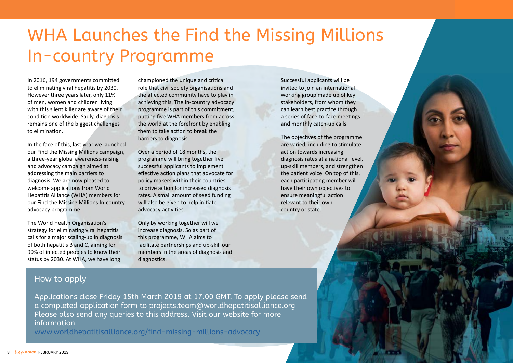<span id="page-4-0"></span>

## WHA Launches the Find the Missing Millions In-country Programme

In 2016, 194 governments committed to eliminating viral hepatitis by 2030. However three years later, only 11% of men, women and children living with this silent killer are aware of their condition worldwide. Sadly, diagnosis remains one of the biggest challenges to elimination.

In the face of this, last year we launched our Find the Missing Millions campaign, a three-year global awareness-raising and advocacy campaign aimed at addressing the main barriers to diagnosis. We are now pleased to welcome applications from World Hepatitis Alliance (WHA) members for our Find the Missing Millions In-country advocacy programme.

The World Health Organisation's strategy for eliminating viral hepatitis calls for a major scaling-up in diagnosis of both hepatitis B and C, aiming for 90% of infected peoples to know their status by 2030. At WHA, we have long

championed the unique and critical role that civil society organisations and the affected community have to play in achieving this. The In-country advocacy programme is part of this commitment, putting five WHA members from across the world at the forefront by enabling them to take action to break the barriers to diagnosis.

Over a period of 18 months, the programme will bring together five successful applicants to implement effective action plans that advocate for policy makers within their countries to drive action for increased diagnosis rates. A small amount of seed funding will also be given to help initiate advocacy activities.

Only by working together will we increase diagnosis. So as part of this programme, WHA aims to facilitate partnerships and up-skill our members in the areas of diagnosis and diagnostics.

Successful applicants will be invited to join an international working group made up of key stakeholders, from whom they can learn best practice through a series of face-to-face meetings and monthly catch-up calls.

The objectives of the programme are varied, including to stimulate action towards increasing diagnosis rates at a national level, up-skill members, and strengthen the patient voice. On top of this, each participating member will have their own objectives to ensure meaningful action relevant to their own country or state.

#### How to apply

[Applications close Friday 15th March 2019 at 17.00 GMT. To apply please send](http://www.worldhepatitisalliance.org/whd-2018-global-summary)  a completed application form to projects.team@worldhepatitisalliance.org Please also send any queries to this address. Visit our website for more information

[www.worldhepatitisalliance.org/find-missing-millions-advocacy](http://www.worldhepatitisalliance.org/find-missing-millions-advocacy )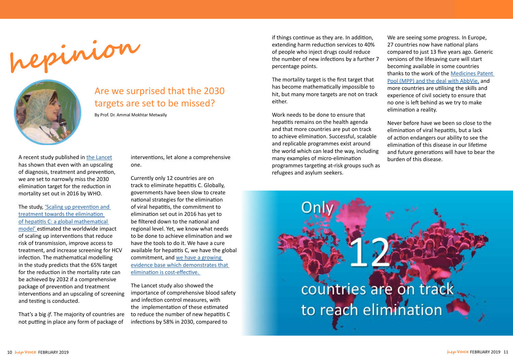



### Are we surprised that the 2030 targets are set to be missed?

By Prof. Dr. Ammal Mokhtar Metwally

A recent study published in [the Lancet](https://www.thelancet.com/journals/lancet/article/PIIS0140-6736(18)32277-3/fulltext) has shown that even with an upscaling of diagnosis, treatment and prevention, we are set to narrowly miss the 2030 elimination target for the reduction in mortality set out in 2016 by WHO.

The study, 'Scaling up prevention and [treatment towards the elimination](https://www.thelancet.com/journals/lancet/article/PIIS0140-6736(18)32277-3/fulltext)  [of hepatitis C: a global mathematical](https://www.thelancet.com/journals/lancet/article/PIIS0140-6736(18)32277-3/fulltext)  [model' e](https://www.thelancet.com/journals/lancet/article/PIIS0140-6736(18)32277-3/fulltext)stimated the worldwide impact of scaling up interventions that reduce risk of transmission, improve access to treatment, and increase screening for HCV infection. The mathematical modelling in the study predicts that the 65% target for the reduction in the mortality rate can be achieved by 2032 if a comprehensive package of prevention and treatment interventions and an upscaling of screening and testing is conducted.

That's a big *if*. The majority of countries are not putting in place any form of package of

interventions, let alone a comprehensive one.

Currently only 12 countries are on track to eliminate hepatitis C. Globally, governments have been slow to create national strategies for the elimination of viral hepatitis, the commitment to elimination set out in 2016 has yet to be filtered down to the national and regional level. Yet, we know what needs to be done to achieve elimination and we have the tools to do it. We have a cure available for hepatitis C, we have the global commitment, and [we have a growing](http://www.hepatitisfinance.org/)  [evidence base which demonstrates that](http://www.hepatitisfinance.org/)  [elimination is cost-effective.](http://www.hepatitisfinance.org/) 

The Lancet study also showed the importance of comprehensive blood safety and infection control measures, with the implementation of these estimated to reduce the number of new hepatitis C infections by 58% in 2030, compared to

if things continue as they are. In addition, extending harm reduction services to 40% of people who inject drugs could reduce the number of new infections by a further 7 percentage points.

The mortality target is the first target that has become mathematically impossible to hit, but many more targets are not on track either.

Work needs to be done to ensure that hepatitis remains on the health agenda and that more countries are put on track to achieve elimination. Successful, scalable and replicable programmes exist around the world which can lead the way, including many examples of micro-elimination programmes targeting at-risk groups such as refugees and asylum seekers.

> countries are on track to reach elimination

We are seeing some progress. In Europe, 27 countries now have national plans compared to just 13 five years ago. Generic versions of the lifesaving cure will start becoming available in some countries thanks to the work of the [Medicines Patent](https://medicinespatentpool.org/mpp-media-post/the-medicines-patent-pool-signs-licence-with-abbvie-to-expand-access-to-key-hepatitis-c-treatment-glecaprevirpibrentasvir/)  [Pool \(MPP\) and the deal with AbbVie,](https://medicinespatentpool.org/mpp-media-post/the-medicines-patent-pool-signs-licence-with-abbvie-to-expand-access-to-key-hepatitis-c-treatment-glecaprevirpibrentasvir/) and more countries are utilising the skills and experience of civil society to ensure that no one is left behind as we try to make elimination a reality.

Never before have we been so close to the elimination of viral hepatitis, but a lack of action endangers our ability to see the elimination of this disease in our lifetime and future generations will have to bear the burden of this disease.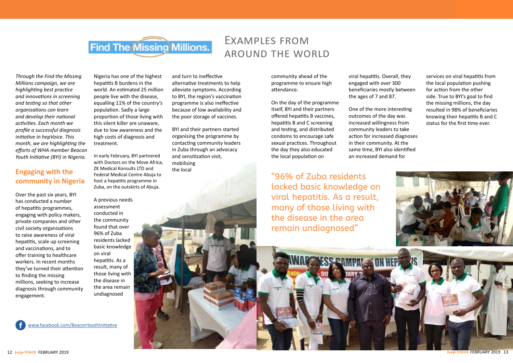

### Examples from around the world

*Through the Find the Missing Millions campaign, we are highlighting best practice and innovations in screening and testing so that other organisations can learn and develop their national activities. Each month we profile a successful diagnosis initiative in hepVoice. This month, we are highlighting the efforts of WHA member Beacon Youth Initiative (BYI) in Nigeria.*

#### **Engaging with the community in Nigeria**

Over the past six years, BYI has conducted a number of hepatitis programmes, engaging with policy makers, private companies and other civil society organisations to raise awareness of viral hepatitis, scale up screening and vaccinations, and to offer training to healthcare workers. In recent months they've turned their attention to finding the missing millions, seeking to increase diagnosis through community engagement.

Nigeria has one of the highest hepatitis B burdens in the world. An estimated 25 million people live with the disease, equalling 11% of the country's population. Sadly a large proportion of those living with this silent killer are unaware, due to low awareness and the high costs of diagnosis and treatment.

In early February, BYI partnered with Doctors on the Move Africa, ZK Medical Konsults LTD and Federal Medical Centre Abuja to host a hepatitis programme in Zuba, on the outskirts of Abuja.

A previous needs assessment conducted in the community found that over 96% of Zuba residents lacked basic knowledge on viral hepatitis. As a result, many of those living with the disease in the area remain undiagnosed

and turn to ineffective alternative treatments to help alleviate symptoms. According to BYI, the region's vaccination programme is also ineffective because of low availability and the poor storage of vaccines.

BYI and their partners started organising the programme by contacting community leaders in Zuba through an advocacy and sensitization visit, mobilising the local

"96% of Zuba residents lacked basic knowledge on viral hepatitis. As a result, many of those living with the disease in the area remain undiagnosed"

community ahead of the programme to ensure high attendance.

On the day of the programme itself, BYI and their partners offered hepatitis B vaccines, hepatitis B and C screening and testing, and distributed condoms to encourage safe sexual practices. Throughout the day they also educated the local population on

viral hepatitis. Overall, they engaged with over 300 beneficiaries mostly between the ages of 7 and 87.

One of the more interesting outcomes of the day was increased willingness from community leaders to take action for increased diagnoses in their community. At the same time, BYI also identified an increased demand for

services on viral hepatitis from the local population pushing for action from the other side. True to BYI's goal to find the missing millions, the day resulted in 98% of beneficiaries knowing their hepatitis B and C status for the first time ever.



[www.facebook.com/BeaconYouthInitiative](http://www.facebook.com/BeaconYouthInitiative)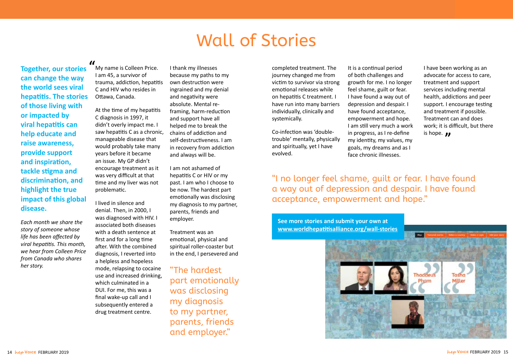**Together, our stories can change the way the world sees viral hepatitis. The stories of those living with or impacted by viral hepatitis can help educate and raise awareness, provide support and inspiration, tackle stigma and discrimination, and highlight the true impact of this global disease.** 

*Each month we share the story of someone whose life has been affected by viral hepatitis. This month, we hear from Colleen Price from Canada who shares her story.* 

At the time of my hepatitis C diagnosis in 1997, it didn't overly impact me. I saw hepatitis C as a chronic, manageable disease that would probably take many years before it became an issue. My GP didn't encourage treatment as it was very difficult at that time and my liver was not problematic.

I lived in silence and denial. Then, in 2000, I was diagnosed with HIV. I associated both diseases with a death sentence at first and for a long time after. With the combined diagnosis, I reverted into a helpless and hopeless mode, relapsing to cocaine use and increased drinking, which culminated in a DUI. For me, this was a final wake-up call and I subsequently entered a drug treatment centre.

I have been working as an advocate for access to care, treatment and support services including mental health, addictions and peer support. I encourage testing and treatment if possible. Treatment can and does work; it is difficult, but there is hope.  $\boldsymbol{\eta}$ 

I thank my illnesses because my paths to my own destruction were ingrained and my denial and negativity were absolute. Mental reframing, harm-reduction and support have all helped me to break the chains of addiction and self-destructiveness. I am in recovery from addiction and always will be.

My name is Colleen Price. I am 45, a survivor of trauma, addiction, hepatitis C and HIV who resides in Ottawa, Canada. **"**

> I am not ashamed of hepatitis C or HIV or my past. I am who I choose to be now. The hardest part emotionally was disclosing my diagnosis to my partner, parents, friends and employer.

> Treatment was an emotional, physical and spiritual roller-coaster but in the end, I persevered and

**See more stories and submit your own at [www.worldhepatitisalliance.org/wall-stories](http://www.worldhepatitisalliance.org/wall-stories)**



completed treatment. The journey changed me from victim to survivor via strong emotional releases while on hepatitis C treatment. I have run into many barriers individually, clinically and systemically.

Co-infection was 'doubletrouble' mentally, physically and spiritually, yet I have evolved.

It is a continual period of both challenges and growth for me. I no longer feel shame, guilt or fear. I have found a way out of depression and despair. I have found acceptance, empowerment and hope. I am still very much a work in progress, as I re-define my identity, my values, my goals, my dreams and as I face chronic illnesses.

### Wall of Stories

"The hardest part emotionally was disclosing my diagnosis to my partner, parents, friends and employer."

#### "I no longer feel shame, guilt or fear. I have found a way out of depression and despair. I have found acceptance, empowerment and hope."